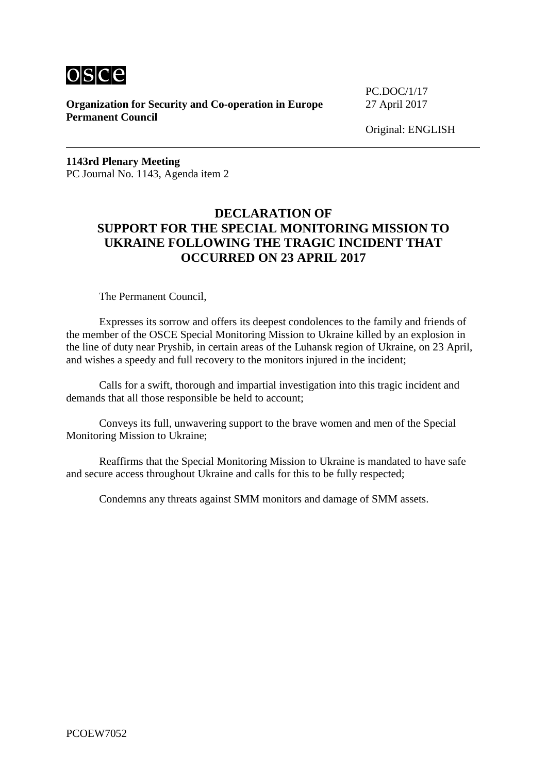

**Organization for Security and Co-operation in Europe** 27 April 2017 **Permanent Council**

PC.DOC/1/17

**1143rd Plenary Meeting** PC Journal No. 1143, Agenda item 2

# **DECLARATION OF SUPPORT FOR THE SPECIAL MONITORING MISSION TO UKRAINE FOLLOWING THE TRAGIC INCIDENT THAT OCCURRED ON 23 APRIL 2017**

The Permanent Council,

Expresses its sorrow and offers its deepest condolences to the family and friends of the member of the OSCE Special Monitoring Mission to Ukraine killed by an explosion in the line of duty near Pryshib, in certain areas of the Luhansk region of Ukraine, on 23 April, and wishes a speedy and full recovery to the monitors injured in the incident;

Calls for a swift, thorough and impartial investigation into this tragic incident and demands that all those responsible be held to account;

Conveys its full, unwavering support to the brave women and men of the Special Monitoring Mission to Ukraine;

Reaffirms that the Special Monitoring Mission to Ukraine is mandated to have safe and secure access throughout Ukraine and calls for this to be fully respected;

Condemns any threats against SMM monitors and damage of SMM assets.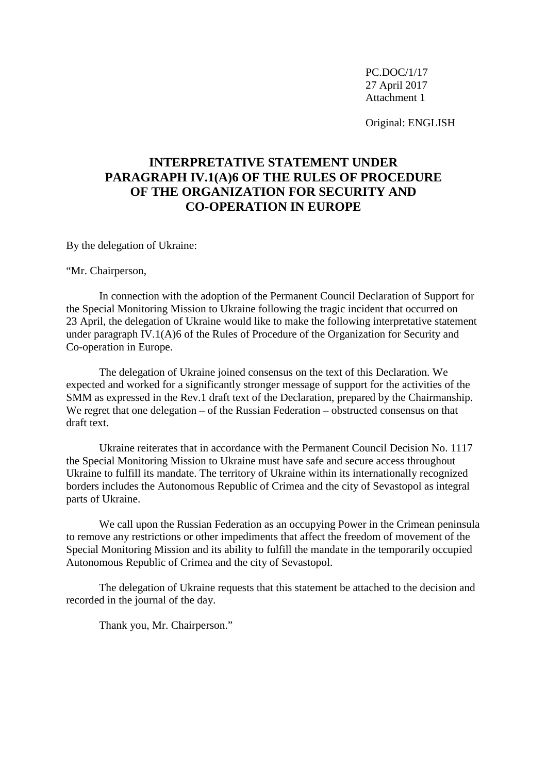Original: ENGLISH

# **INTERPRETATIVE STATEMENT UNDER PARAGRAPH IV.1(A)6 OF THE RULES OF PROCEDURE OF THE ORGANIZATION FOR SECURITY AND CO-OPERATION IN EUROPE**

By the delegation of Ukraine:

"Mr. Chairperson,

In connection with the adoption of the Permanent Council Declaration of Support for the Special Monitoring Mission to Ukraine following the tragic incident that occurred on 23 April, the delegation of Ukraine would like to make the following interpretative statement under paragraph IV.1(A)6 of the Rules of Procedure of the Organization for Security and Co-operation in Europe.

The delegation of Ukraine joined consensus on the text of this Declaration. We expected and worked for a significantly stronger message of support for the activities of the SMM as expressed in the Rev.1 draft text of the Declaration, prepared by the Chairmanship. We regret that one delegation – of the Russian Federation – obstructed consensus on that draft text.

Ukraine reiterates that in accordance with the Permanent Council Decision No. 1117 the Special Monitoring Mission to Ukraine must have safe and secure access throughout Ukraine to fulfill its mandate. The territory of Ukraine within its internationally recognized borders includes the Autonomous Republic of Crimea and the city of Sevastopol as integral parts of Ukraine.

We call upon the Russian Federation as an occupying Power in the Crimean peninsula to remove any restrictions or other impediments that affect the freedom of movement of the Special Monitoring Mission and its ability to fulfill the mandate in the temporarily occupied Autonomous Republic of Crimea and the city of Sevastopol.

The delegation of Ukraine requests that this statement be attached to the decision and recorded in the journal of the day.

Thank you, Mr. Chairperson."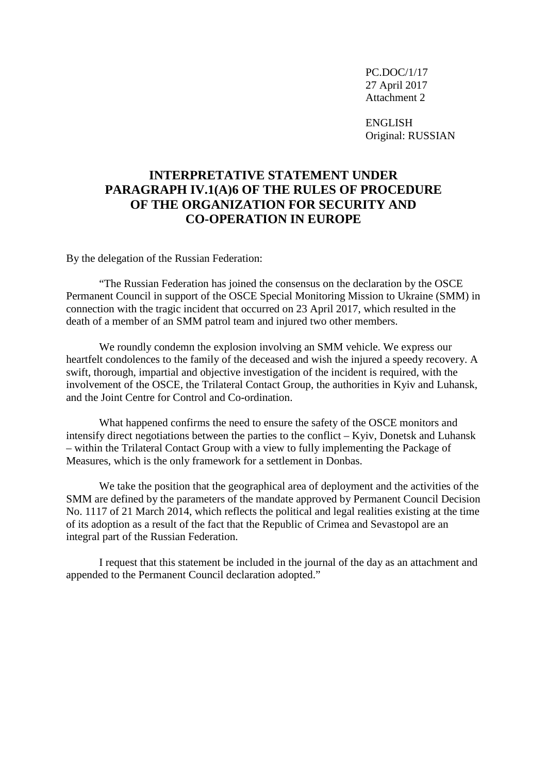ENGLISH Original: RUSSIAN

### **INTERPRETATIVE STATEMENT UNDER PARAGRAPH IV.1(A)6 OF THE RULES OF PROCEDURE OF THE ORGANIZATION FOR SECURITY AND CO-OPERATION IN EUROPE**

By the delegation of the Russian Federation:

"The Russian Federation has joined the consensus on the declaration by the OSCE Permanent Council in support of the OSCE Special Monitoring Mission to Ukraine (SMM) in connection with the tragic incident that occurred on 23 April 2017, which resulted in the death of a member of an SMM patrol team and injured two other members.

We roundly condemn the explosion involving an SMM vehicle. We express our heartfelt condolences to the family of the deceased and wish the injured a speedy recovery. A swift, thorough, impartial and objective investigation of the incident is required, with the involvement of the OSCE, the Trilateral Contact Group, the authorities in Kyiv and Luhansk, and the Joint Centre for Control and Co-ordination.

What happened confirms the need to ensure the safety of the OSCE monitors and intensify direct negotiations between the parties to the conflict – Kyiv, Donetsk and Luhansk – within the Trilateral Contact Group with a view to fully implementing the Package of Measures, which is the only framework for a settlement in Donbas.

We take the position that the geographical area of deployment and the activities of the SMM are defined by the parameters of the mandate approved by Permanent Council Decision No. 1117 of 21 March 2014, which reflects the political and legal realities existing at the time of its adoption as a result of the fact that the Republic of Crimea and Sevastopol are an integral part of the Russian Federation.

I request that this statement be included in the journal of the day as an attachment and appended to the Permanent Council declaration adopted."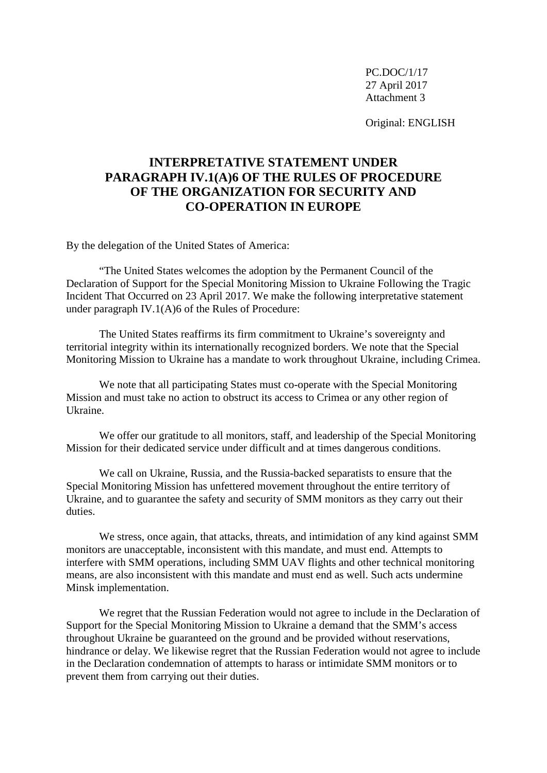Original: ENGLISH

## **INTERPRETATIVE STATEMENT UNDER PARAGRAPH IV.1(A)6 OF THE RULES OF PROCEDURE OF THE ORGANIZATION FOR SECURITY AND CO-OPERATION IN EUROPE**

By the delegation of the United States of America:

"The United States welcomes the adoption by the Permanent Council of the Declaration of Support for the Special Monitoring Mission to Ukraine Following the Tragic Incident That Occurred on 23 April 2017. We make the following interpretative statement under paragraph IV.1(A)6 of the Rules of Procedure:

The United States reaffirms its firm commitment to Ukraine's sovereignty and territorial integrity within its internationally recognized borders. We note that the Special Monitoring Mission to Ukraine has a mandate to work throughout Ukraine, including Crimea.

We note that all participating States must co-operate with the Special Monitoring Mission and must take no action to obstruct its access to Crimea or any other region of Ukraine.

We offer our gratitude to all monitors, staff, and leadership of the Special Monitoring Mission for their dedicated service under difficult and at times dangerous conditions.

We call on Ukraine, Russia, and the Russia-backed separatists to ensure that the Special Monitoring Mission has unfettered movement throughout the entire territory of Ukraine, and to guarantee the safety and security of SMM monitors as they carry out their duties.

We stress, once again, that attacks, threats, and intimidation of any kind against SMM monitors are unacceptable, inconsistent with this mandate, and must end. Attempts to interfere with SMM operations, including SMM UAV flights and other technical monitoring means, are also inconsistent with this mandate and must end as well. Such acts undermine Minsk implementation.

We regret that the Russian Federation would not agree to include in the Declaration of Support for the Special Monitoring Mission to Ukraine a demand that the SMM's access throughout Ukraine be guaranteed on the ground and be provided without reservations, hindrance or delay. We likewise regret that the Russian Federation would not agree to include in the Declaration condemnation of attempts to harass or intimidate SMM monitors or to prevent them from carrying out their duties.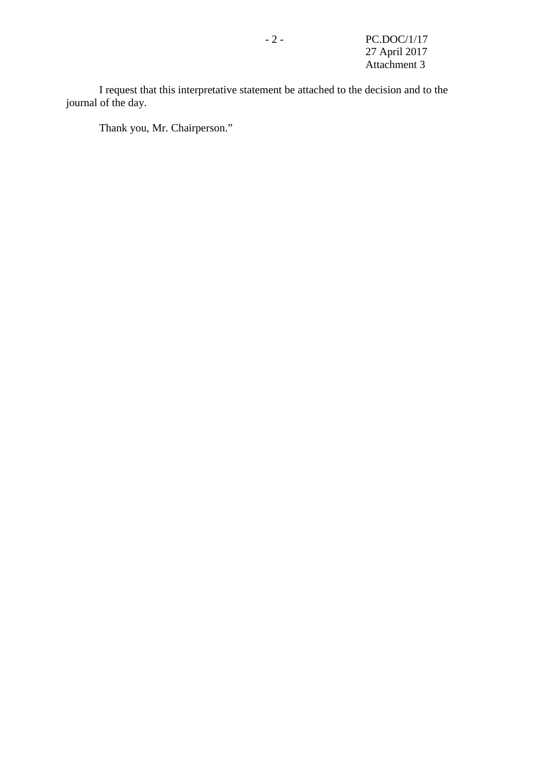I request that this interpretative statement be attached to the decision and to the journal of the day.

Thank you, Mr. Chairperson."